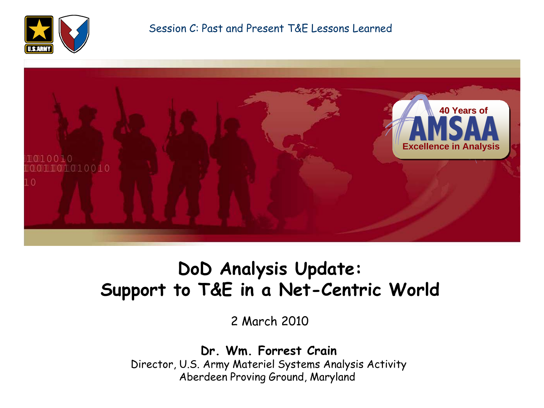



### **DoD Analysis Update: Support to T&E in a Net-Centric World**

2 March 2010

**Dr. Wm. Forrest Crain** Director, U.S. Army Materiel Systems Analysis Activity Aberdeen Proving Ground, Maryland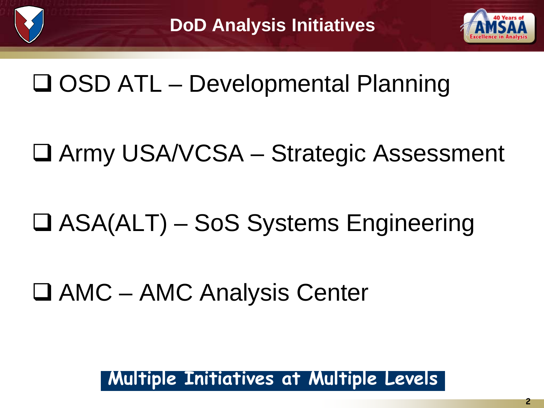

# □ OSD ATL – Developmental Planning

- Army USA/VCSA Strategic Assessment
- □ ASA(ALT) SoS Systems Engineering

□ AMC – AMC Analysis Center

### **Multiple Initiatives at Multiple Levels**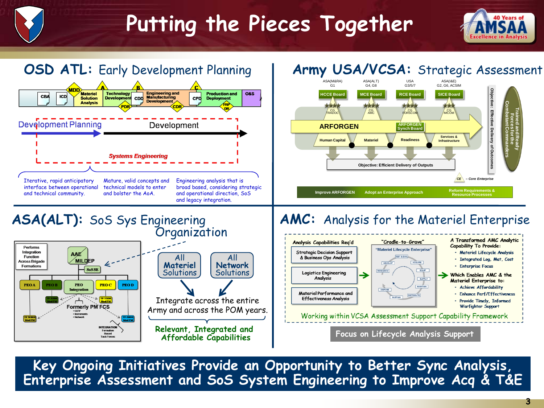# **Putting the Pieces Together**





**Key Ongoing Initiatives Provide an Opportunity to Better Sync Analysis, Enterprise Assessment and SoS System Engineering to Improve Acq & T&E**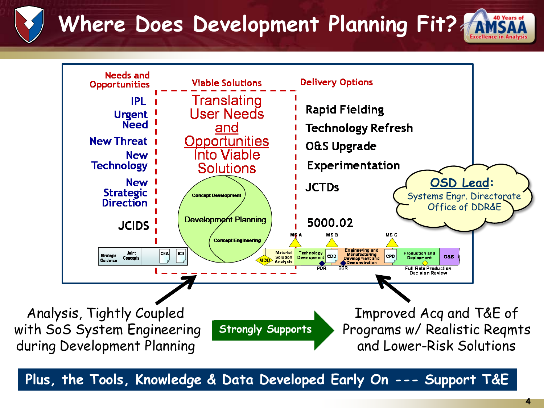**Where Does Development Planning Fit?**



**Plus, the Tools, Knowledge & Data Developed Early On --- Support T&E**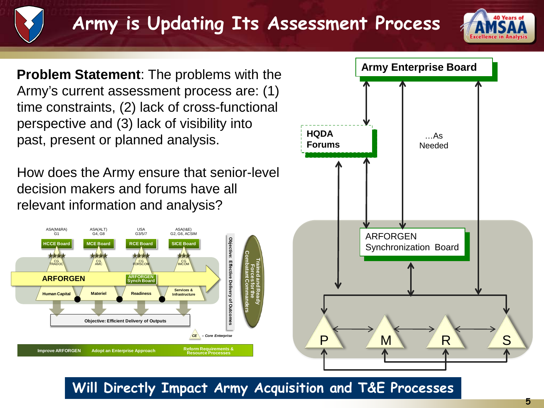## **Army is Updating Its Assessment Process**



**Problem Statement**: The problems with the Army's current assessment process are: (1) time constraints, (2) lack of cross-functional perspective and (3) lack of visibility into past, present or planned analysis.

How does the Army ensure that senior-level decision makers and forums have all relevant information and analysis?





**Will Directly Impact Army Acquisition and T&E Processes**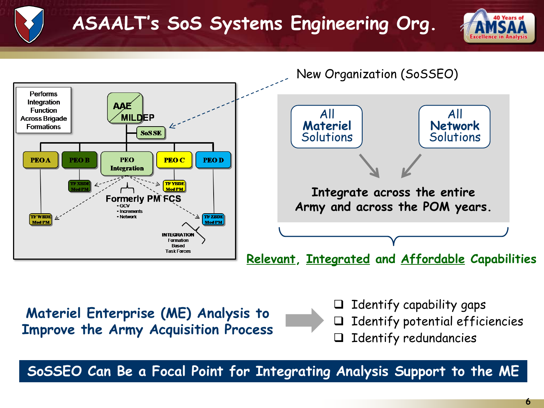### **ASAALT's SoS Systems Engineering Org.**





**SoSSEO Can Be a Focal Point for Integrating Analysis Support to the ME**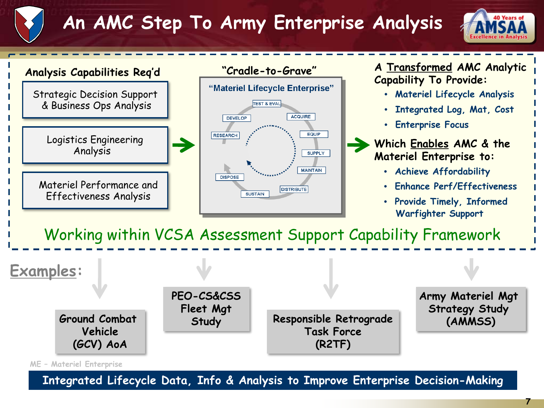## **An AMC Step To Army Enterprise Analysis**





**Integrated Lifecycle Data, Info & Analysis to Improve Enterprise Decision-Making**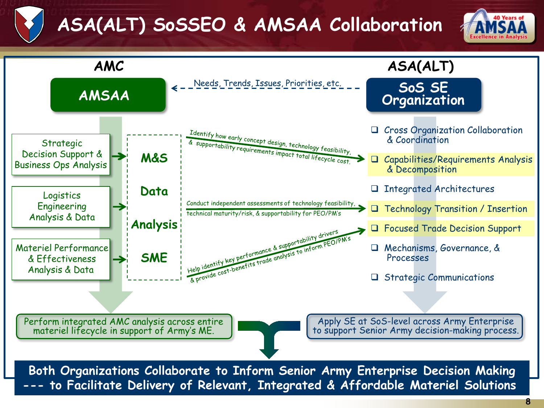## **ASA(ALT) SoSSEO & AMSAA Collaboration**



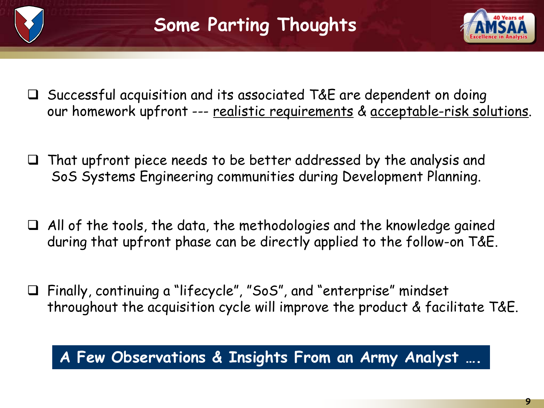

- Successful acquisition and its associated T&E are dependent on doing our homework upfront --- realistic requirements & acceptable-risk solutions.
- $\Box$  That upfront piece needs to be better addressed by the analysis and SoS Systems Engineering communities during Development Planning.
- $\Box$  All of the tools, the data, the methodologies and the knowledge gained during that upfront phase can be directly applied to the follow-on T&E.
- Finally, continuing a "lifecycle", "SoS", and "enterprise" mindset throughout the acquisition cycle will improve the product & facilitate T&E.

#### **A Few Observations & Insights From an Army Analyst ….**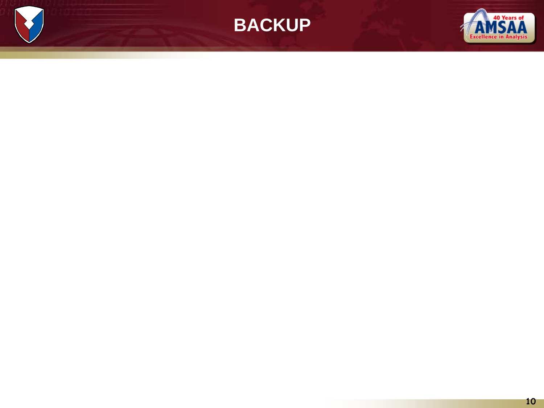

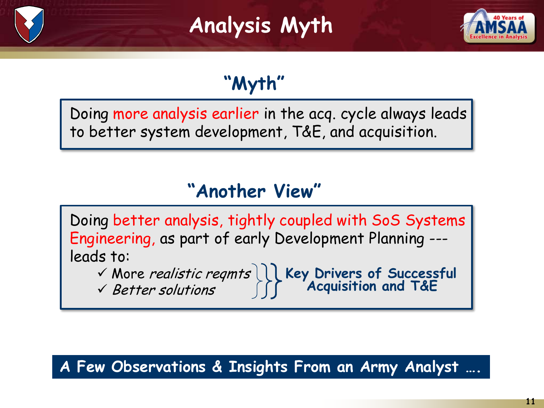## **Analysis Myth**



## **"Myth"**

Doing more analysis earlier in the acq. cycle always leads to better system development, T&E, and acquisition.

### **"Another View"**

Doing better analysis, tightly coupled with SoS Systems Engineering, as part of early Development Planning -- leads to:

More realistic reqmts **Key Drivers of Successful Acquisition and T&E**

 $\checkmark$  Better solutions

#### **A Few Observations & Insights From an Army Analyst ….**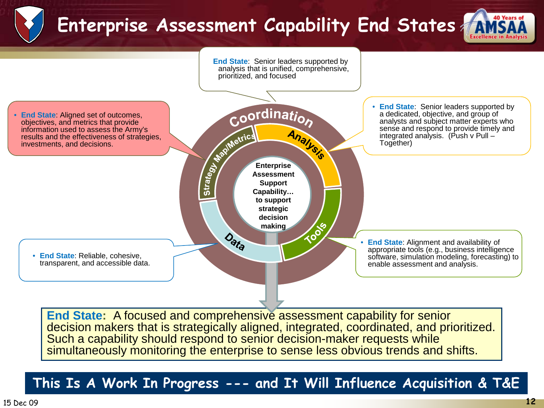## **Enterprise Assessment Capability End States**





simultaneously monitoring the enterprise to sense less obvious trends and shifts.

#### **This Is A Work In Progress --- and It Will Influence Acquisition & T&E**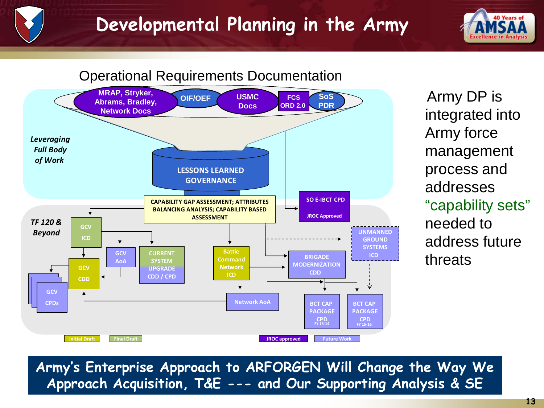### **Developmental Planning in the Army**





Army DP is integrated into Army force management process and addresses "capability sets" needed to address future threats

**Army's Enterprise Approach to ARFORGEN Will Change the Way We Approach Acquisition, T&E --- and Our Supporting Analysis & SE**